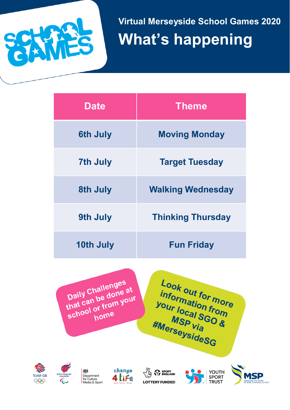

**Virtual Merseyside School Games 2020 What's happening** 

| <b>Date</b>      | <b>Theme</b>             |  |
|------------------|--------------------------|--|
| <b>6th July</b>  | <b>Moving Monday</b>     |  |
| <b>7th July</b>  | <b>Target Tuesday</b>    |  |
| 8th July         | <b>Walking Wednesday</b> |  |
| 9th July         | <b>Thinking Thursday</b> |  |
| <b>10th July</b> | <b>Fun Friday</b>        |  |



Look out for more information more<br>Vour local SGO<sup>n</sup><br>Mo<sup>re</sup> SGO<sup>n</sup> ""Ormation from"<br>Your local SGO &<br>MSP Via M<sub>SP</sub> Via **MSP** Via<br>
WerseysideSG











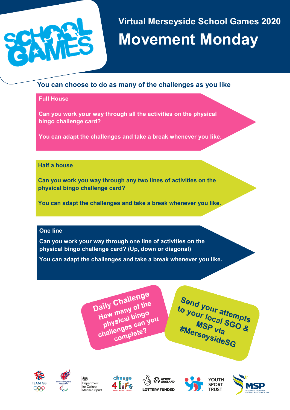

# **Virtual Merseyside School Games 2020 Movement Monday**

## **You can choose to do as many of the challenges as you like**

### **Full House**

**Can you work your way through all the activities on the physical bingo challenge card?**

**You can adapt the challenges and take a break whenever you like.** 

### **Half a house**

**Can you work you way through any two lines of activities on the physical bingo challenge card?** 

**You can adapt the challenges and take a break whenever you like.** 

### **One line**

**Can you work your way through one line of activities on the physical bingo challenge card? (Up, down or diagonal)**

**You can adapt the challenges and take a break whenever you like.** 

Daily Challenge aily Challens<br>How many of the physical bingo<br>Physical bingo<br>Physical bingo How many<br>physical bingo<br>challenges can you enges car.<br>complete?

Send your attempts<br>to your local SGO s to your local sempts<br>MSP via SGO &<br>MSP via Via EMBress MSP via<br><sup>KSP via</sup> **MSP Via**<br>Werseysides<sub>G</sub>













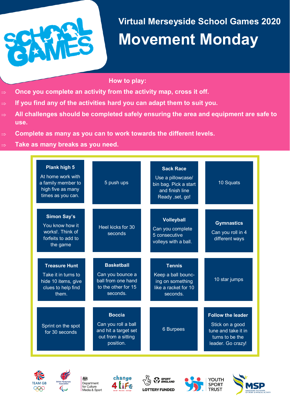

# **Virtual Merseyside School Games 2020 Movement Monday**

### **How to play:**

- **Once you complete an activity from the activity map, cross it off.**
- **If you find any of the activities hard you can adapt them to suit you.**
- **All challenges should be completed safely ensuring the area and equipment are safe to use.**
- **Complete as many as you can to work towards the different levels.**
- **Take as many breaks as you need.**

| Plank high 5<br>At home work with<br>a family member to<br>high five as many<br>times as you can. | 5 push ups                                                                                      | <b>Sack Race</b><br>Use a pillowcase/<br>bin bag. Pick a start<br>and finish line<br>Ready , set, go! | 10 Squats                                                                                                  |
|---------------------------------------------------------------------------------------------------|-------------------------------------------------------------------------------------------------|-------------------------------------------------------------------------------------------------------|------------------------------------------------------------------------------------------------------------|
| <b>Simon Say's</b><br>You know how it<br>works!. Think of<br>forfeits to add to<br>the game       | Heel kicks for 30<br>seconds                                                                    | <b>Volleyball</b><br>Can you complete<br>5 consecutive<br>volleys with a ball.                        | <b>Gymnastics</b><br>Can you roll in 4<br>different ways                                                   |
| <b>Treasure Hunt</b><br>Take it in turns to<br>hide 10 items, give<br>clues to help find<br>them. | <b>Basketball</b><br>Can you bounce a<br>ball from one hand<br>to the other for 15<br>seconds.  | <b>Tennis</b><br>Keep a ball bounc-<br>ing on something<br>like a racket for 10<br>seconds.           | 10 star jumps                                                                                              |
| Sprint on the spot<br>for 30 seconds                                                              | <b>Boccia</b><br>Can you roll a ball<br>and hit a target set<br>out from a sitting<br>position. | <b>6 Burpees</b>                                                                                      | <b>Follow the leader</b><br>Stick on a good<br>tune and take it in<br>turns to be the<br>leader. Go crazy! |













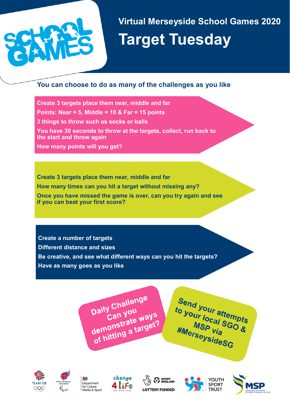

**Virtual Merseyside School Games 2020 Target Tuesday** 

## **You can choose to do as many of the challenges as you like**

**Create 3 targets place them near, middle and far** 

**Points: Near = 5, Middle = 10 & Far = 15 points** 

**3 things to throw such as socks or balls** 

**You have 30 seconds to throw at the targets, collect, run back to the start and throw again**

**How many points will you get?**

**Create 3 targets place them near, middle and far How many times can you hit a target without missing any? Once you have missed the game is over, can you try again and see if you can beat your first score?**

**Create a number of targets Different distance and sizes Be creative, and see what different ways can you hit the targets? Have as many goes as you like**

> Daily Challenge y Chan<br>Can you Daily Can you<br>Can you<br>demonstrate ways<br>demonstrate a target? demonstrate way















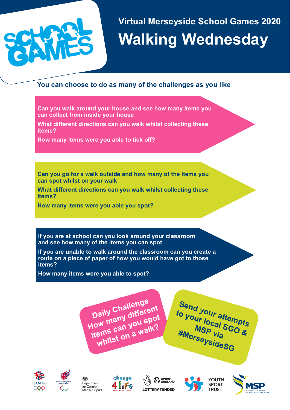

# **Virtual Merseyside School Games 2020 Walking Wednesday**

## **You can choose to do as many of the challenges as you like**

**Can you walk around your house and see how many items you can collect from inside your house** 

**What different directions can you walk whilst collecting these items?**

**How many items were you able to tick off?**

**Can you go for a walk outside and how many of the items you can spot whilst on your walk** 

**What different directions can you walk whilst collecting these items?**

**How many items were you able you spot?**

**If you are at school can you look around your classroom and see how many of the items you can spot**

**If you are unable to walk around the classroom can you create a route on a piece of paper of how you would have got to those items?** 

**How many items were you able to spot?**

Daily Challenge Daily Challenge<br>How many different<br>How many you spot Daily or different<br>How many you spot<br>items can you spot ow marry you sp.<br>tems can you sp.<br>whilst on a walk?

Send your attempts<br>to your local SGO s to your local scopes<br>MSP via<br>MSP via<br>Merse via MSP via *#MerseysideSG*<br>#MerseysideSG













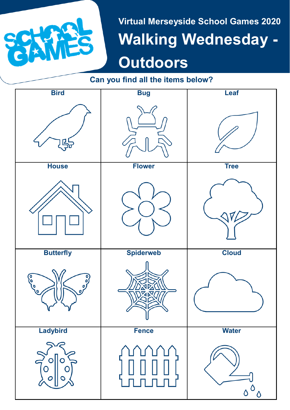

**Virtual Merseyside School Games 2020 Walking Wednesday - Outdoors**

# **Can you find all the items below?**

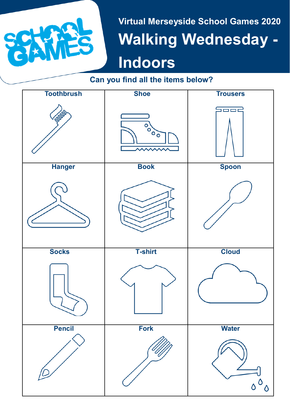

# **Virtual Merseyside School Games 2020 Walking Wednesday - Indoors**

# **Can you find all the items below?**

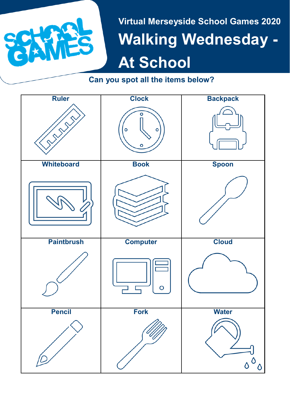

**Virtual Merseyside School Games 2020 Walking Wednesday - At School** 

**Can you spot all the items below?**

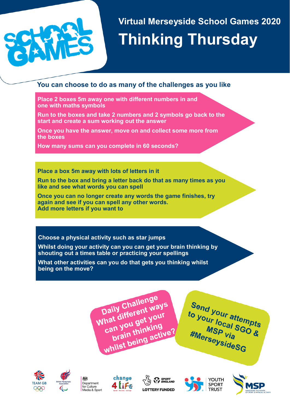

# **Virtual Merseyside School Games 2020 Thinking Thursday**

## **You can choose to do as many of the challenges as you like**

**Place 2 boxes 5m away one with different numbers in and one with maths symbols**

**Run to the boxes and take 2 numbers and 2 symbols go back to the start and create a sum working out the answer**

**Once you have the answer, move on and collect some more from the boxes**

**How many sums can you complete in 60 seconds?**

**Place a box 5m away with lots of letters in it**

**Run to the box and bring a letter back do that as many times as you like and see what words you can spell**

**Once you can no longer create any words the game finishes, try again and see if you can spell any other words. Add more letters if you want to** 

### **Choose a physical activity such as star jumps**

**Whilst doing your activity can you can get your brain thinking by shouting out a times table or practicing your spellings** 

**What other activities can you do that gets you thinking whilst being on the move?**

> Daily Challenge Daily Challenge<br>What different ways<br>What different your hat different web<br>hat different your<br>can you get your at you get you<br>an you get you<br>brain thinking can you thinking<br>brain thinking